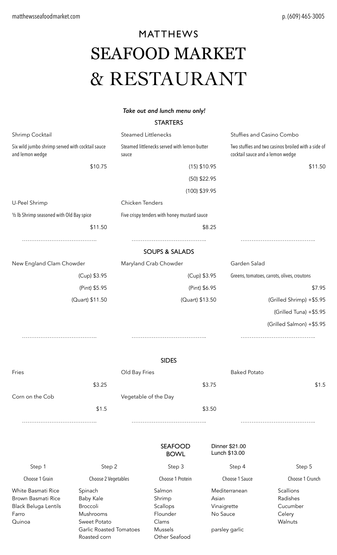# MATTHEWS SEAFOOD MARKET & RESTAURANT

#### *Take out and lunch menu only!*

#### **STARTERS**

| Shrimp Cocktail                           |                                                                                                           | <b>Steamed Littlenecks</b>    |                 |                                                                                         | Stuffies and Casino Combo |  |
|-------------------------------------------|-----------------------------------------------------------------------------------------------------------|-------------------------------|-----------------|-----------------------------------------------------------------------------------------|---------------------------|--|
| and lemon wedge                           | Steamed littlenecks served with lemon-butter<br>Six wild jumbo shrimp served with cocktail sauce<br>sauce |                               |                 | Two stuffies and two casinos broiled with a side of<br>cocktail sauce and a lemon wedge |                           |  |
|                                           | \$10.75                                                                                                   |                               | $(15)$ \$10.95  |                                                                                         | \$11.50                   |  |
|                                           |                                                                                                           |                               | $(50)$ \$22.95  |                                                                                         |                           |  |
|                                           |                                                                                                           |                               | $(100)$ \$39.95 |                                                                                         |                           |  |
| U-Peel Shrimp                             |                                                                                                           | Chicken Tenders               |                 |                                                                                         |                           |  |
|                                           |                                                                                                           |                               |                 |                                                                                         |                           |  |
| 1/2 lb Shrimp seasoned with Old Bay spice | Five crispy tenders with honey mustard sauce                                                              |                               |                 |                                                                                         |                           |  |
|                                           | \$11.50                                                                                                   |                               |                 | \$8.25                                                                                  |                           |  |
|                                           |                                                                                                           | <b>SOUPS &amp; SALADS</b>     |                 |                                                                                         |                           |  |
| New England Clam Chowder                  |                                                                                                           | Maryland Crab Chowder         |                 | Garden Salad                                                                            |                           |  |
|                                           | (Cup) \$3.95                                                                                              |                               |                 |                                                                                         |                           |  |
|                                           |                                                                                                           | (Cup) \$3.95                  |                 | Greens, tomatoes, carrots, olives, croutons                                             |                           |  |
|                                           |                                                                                                           | (Pint) \$6.95                 |                 | \$7.95                                                                                  |                           |  |
| (Quart) \$11.50                           |                                                                                                           |                               | (Quart) \$13.50 |                                                                                         | (Grilled Shrimp) +\$5.95  |  |
|                                           |                                                                                                           |                               |                 |                                                                                         | (Grilled Tuna) +\$5.95    |  |
|                                           |                                                                                                           |                               |                 |                                                                                         | (Grilled Salmon) +\$5.95  |  |
|                                           |                                                                                                           |                               |                 |                                                                                         |                           |  |
|                                           |                                                                                                           |                               |                 |                                                                                         |                           |  |
|                                           |                                                                                                           | <b>SIDES</b>                  |                 |                                                                                         |                           |  |
| Fries                                     |                                                                                                           | Old Bay Fries                 |                 | <b>Baked Potato</b>                                                                     |                           |  |
|                                           | \$3.25                                                                                                    |                               |                 | \$3.75                                                                                  | \$1.5                     |  |
| Corn on the Cob<br>Vegetable of the Day   |                                                                                                           |                               |                 |                                                                                         |                           |  |
|                                           | \$1.5                                                                                                     |                               |                 | \$3.50                                                                                  |                           |  |
|                                           |                                                                                                           |                               |                 |                                                                                         |                           |  |
|                                           |                                                                                                           |                               |                 |                                                                                         |                           |  |
|                                           |                                                                                                           | <b>SEAFOOD</b><br><b>BOWL</b> |                 | Dinner \$21.00<br>Lunch \$13.00                                                         |                           |  |
| Step 1                                    | Step 2                                                                                                    | Step 3                        |                 | Step 4                                                                                  | Step 5                    |  |
| Choose 1 Grain                            | Choose 2 Vegetables                                                                                       | Choose 1 Protein              |                 | Choose 1 Sauce                                                                          | Choose 1 Crunch           |  |
| White Basmati Rice                        | Spinach                                                                                                   | Salmon                        |                 | Mediterranean                                                                           | Scallions                 |  |
| Brown Basmati Rice                        | <b>Baby Kale</b>                                                                                          | Shrimp                        |                 | Asian                                                                                   | Radishes                  |  |
| Black Beluga Lentils                      | Broccoli                                                                                                  | Scallops                      |                 | Vinaigrette                                                                             | Cucumber                  |  |
| Farro                                     | Mushrooms                                                                                                 | Flounder                      |                 | No Sauce                                                                                | Celery<br>Walnuts         |  |
| Quinoa                                    | Sweet Potato<br><b>Garlic Roasted Tomatoes</b>                                                            | Clams<br>Mussels              |                 | parsley garlic                                                                          |                           |  |
|                                           | Roasted corn                                                                                              | Other Seafood                 |                 |                                                                                         |                           |  |